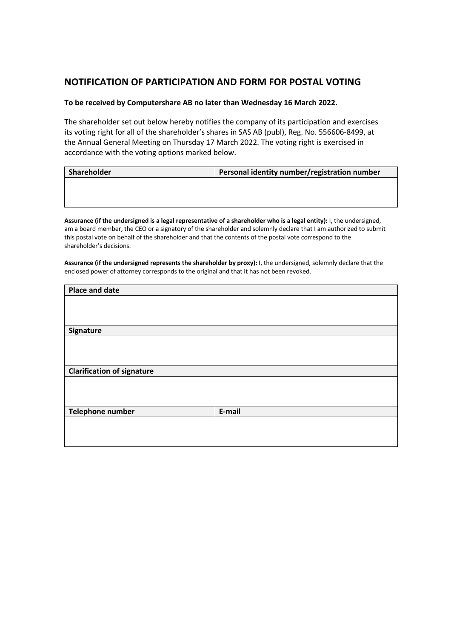## **NOTIFICATION OF PARTICIPATION AND FORM FOR POSTAL VOTING**

### **To be received by Computershare AB no later than Wednesday 16 March 2022.**

The shareholder set out below hereby notifies the company of its participation and exercises its voting right for all of the shareholder's shares in SAS AB (publ), Reg. No. 556606-8499, at the Annual General Meeting on Thursday 17 March 2022. The voting right is exercised in accordance with the voting options marked below.

| Shareholder | Personal identity number/registration number |
|-------------|----------------------------------------------|
|             |                                              |
|             |                                              |
|             |                                              |

**Assurance (if the undersigned is a legal representative of a shareholder who is a legal entity):** I, the undersigned, am a board member, the CEO or a signatory of the shareholder and solemnly declare that I am authorized to submit this postal vote on behalf of the shareholder and that the contents of the postal vote correspond to the shareholder's decisions.

**Assurance (if the undersigned represents the shareholder by proxy):** I, the undersigned, solemnly declare that the enclosed power of attorney corresponds to the original and that it has not been revoked.

| <b>Place and date</b>             |        |
|-----------------------------------|--------|
|                                   |        |
|                                   |        |
|                                   |        |
| Signature                         |        |
|                                   |        |
|                                   |        |
|                                   |        |
| <b>Clarification of signature</b> |        |
|                                   |        |
|                                   |        |
|                                   |        |
| Telephone number                  | E-mail |
|                                   |        |
|                                   |        |
|                                   |        |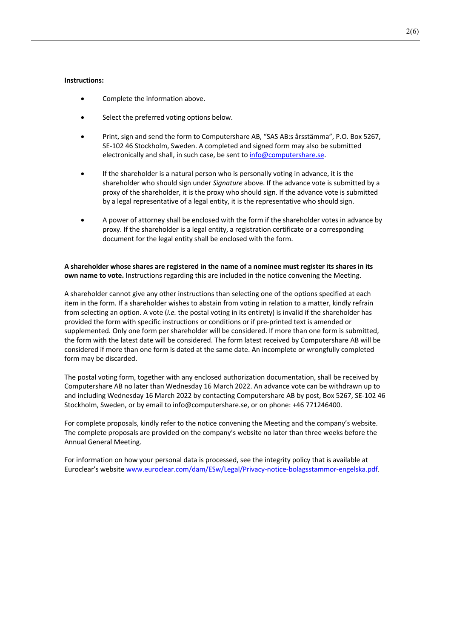#### **Instructions:**

- Complete the information above.
- Select the preferred voting options below.
- Print, sign and send the form to Computershare AB, "SAS AB:s årsstämma", P.O. Box 5267, SE-102 46 Stockholm, Sweden. A completed and signed form may also be submitted electronically and shall, in such case, be sent to info@computershare.se.
- If the shareholder is a natural person who is personally voting in advance, it is the shareholder who should sign under *Signature* above. If the advance vote is submitted by a proxy of the shareholder, it is the proxy who should sign. If the advance vote is submitted by a legal representative of a legal entity, it is the representative who should sign.
- A power of attorney shall be enclosed with the form if the shareholder votes in advance by proxy. If the shareholder is a legal entity, a registration certificate or a corresponding document for the legal entity shall be enclosed with the form.

**A shareholder whose shares are registered in the name of a nominee must register its shares in its own name to vote.** Instructions regarding this are included in the notice convening the Meeting.

A shareholder cannot give any other instructions than selecting one of the options specified at each item in the form. If a shareholder wishes to abstain from voting in relation to a matter, kindly refrain from selecting an option. A vote (*i.e.* the postal voting in its entirety) is invalid if the shareholder has provided the form with specific instructions or conditions or if pre-printed text is amended or supplemented. Only one form per shareholder will be considered. If more than one form is submitted, the form with the latest date will be considered. The form latest received by Computershare AB will be considered if more than one form is dated at the same date. An incomplete or wrongfully completed form may be discarded.

The postal voting form, together with any enclosed authorization documentation, shall be received by Computershare AB no later than Wednesday 16 March 2022. An advance vote can be withdrawn up to and including Wednesday 16 March 2022 by contacting Computershare AB by post, Box 5267, SE-102 46 Stockholm, Sweden, or by email to info@computershare.se, or on phone: +46 771246400.

For complete proposals, kindly refer to the notice convening the Meeting and the company's website. The complete proposals are provided on the company's website no later than three weeks before the Annual General Meeting.

For information on how your personal data is processed, see the integrity policy that is available at Euroclear's website www.euroclear.com/dam/ESw/Legal/Privacy-notice-bolagsstammor-engelska.pdf.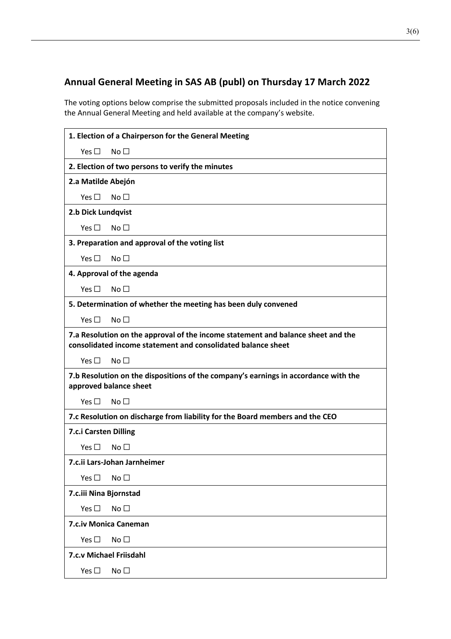# **Annual General Meeting in SAS AB (publ) on Thursday 17 March 2022**

The voting options below comprise the submitted proposals included in the notice convening the Annual General Meeting and held available at the company's website.

|                                                                                                                                                  | 1. Election of a Chairperson for the General Meeting                         |  |
|--------------------------------------------------------------------------------------------------------------------------------------------------|------------------------------------------------------------------------------|--|
| Yes $\Box$                                                                                                                                       | No <sub>1</sub>                                                              |  |
|                                                                                                                                                  | 2. Election of two persons to verify the minutes                             |  |
| 2.a Matilde Abejón                                                                                                                               |                                                                              |  |
| Yes $\square$                                                                                                                                    | No <sub>1</sub>                                                              |  |
| 2.b Dick Lundqvist                                                                                                                               |                                                                              |  |
| Yes $\square$                                                                                                                                    | No <sub>1</sub>                                                              |  |
|                                                                                                                                                  | 3. Preparation and approval of the voting list                               |  |
| Yes $\Box$                                                                                                                                       | No $\Box$                                                                    |  |
|                                                                                                                                                  | 4. Approval of the agenda                                                    |  |
| Yes $\square$                                                                                                                                    | No <sub>1</sub>                                                              |  |
|                                                                                                                                                  | 5. Determination of whether the meeting has been duly convened               |  |
| Yes $\Box$                                                                                                                                       | No <sub>1</sub>                                                              |  |
| 7.a Resolution on the approval of the income statement and balance sheet and the<br>consolidated income statement and consolidated balance sheet |                                                                              |  |
| Yes $\Box$                                                                                                                                       | No $\Box$                                                                    |  |
| 7.b Resolution on the dispositions of the company's earnings in accordance with the<br>approved balance sheet                                    |                                                                              |  |
| Yes $\Box$                                                                                                                                       | No <sub>1</sub>                                                              |  |
|                                                                                                                                                  | 7.c Resolution on discharge from liability for the Board members and the CEO |  |
| 7.c.i Carsten Dilling                                                                                                                            |                                                                              |  |
| Yes $\Box$                                                                                                                                       | No <sub>1</sub>                                                              |  |
|                                                                                                                                                  | 7.c.ii Lars-Johan Jarnheimer                                                 |  |
| Yes $\square$                                                                                                                                    | No <sub>1</sub>                                                              |  |
| 7.c.iii Nina Bjornstad                                                                                                                           |                                                                              |  |
| Yes $\square$                                                                                                                                    | No <sub>1</sub>                                                              |  |
| 7.c.iv Monica Caneman                                                                                                                            |                                                                              |  |
| Yes $\square$                                                                                                                                    | No <sub>1</sub>                                                              |  |
| 7.c.v Michael Friisdahl                                                                                                                          |                                                                              |  |
| Yes $\square$                                                                                                                                    | No <sub>1</sub>                                                              |  |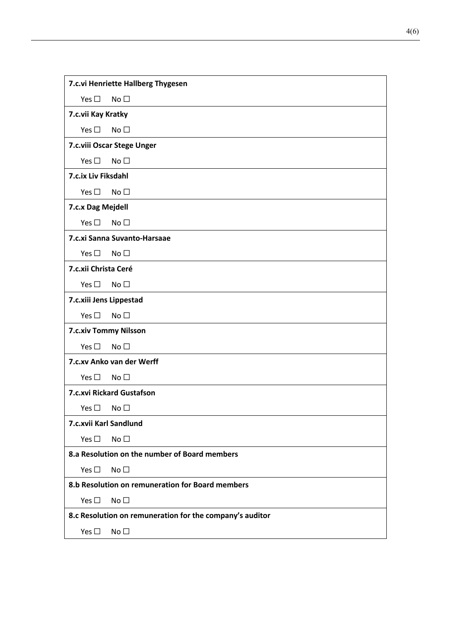| 7.c.vi Henriette Hallberg Thygesen                       |                              |  |  |
|----------------------------------------------------------|------------------------------|--|--|
| Yes $\square$                                            | No <sub>1</sub>              |  |  |
|                                                          | 7.c.vii Kay Kratky           |  |  |
| Yes $\square$                                            | No <sub>1</sub>              |  |  |
|                                                          | 7.c.viii Oscar Stege Unger   |  |  |
| Yes $\square$                                            | No <sub>1</sub>              |  |  |
| 7.c.ix Liv Fiksdahl                                      |                              |  |  |
| Yes $\square$                                            | No <sub>1</sub>              |  |  |
| 7.c.x Dag Mejdell                                        |                              |  |  |
| Yes $\square$                                            | No <sub>1</sub>              |  |  |
|                                                          | 7.c.xi Sanna Suvanto-Harsaae |  |  |
| Yes $\square$                                            | No <sub>1</sub>              |  |  |
| 7.c.xii Christa Ceré                                     |                              |  |  |
| Yes $\square$                                            | No <sub>1</sub>              |  |  |
|                                                          | 7.c.xiii Jens Lippestad      |  |  |
| Yes $\square$                                            | No <sub>1</sub>              |  |  |
| 7.c.xiv Tommy Nilsson                                    |                              |  |  |
| Yes $\square$                                            | No <sub>1</sub>              |  |  |
|                                                          | 7.c.xy Anko van der Werff    |  |  |
| Yes $\square$                                            | No <sub>1</sub>              |  |  |
| 7.c.xvi Rickard Gustafson                                |                              |  |  |
| Yes $\square$                                            | No <sub>1</sub>              |  |  |
| 7.c.xvii Karl Sandlund                                   |                              |  |  |
| Yes $\square$                                            | No <sub>1</sub>              |  |  |
| 8.a Resolution on the number of Board members            |                              |  |  |
| Yes $\square$                                            | No <sub>1</sub>              |  |  |
| 8.b Resolution on remuneration for Board members         |                              |  |  |
| Yes $\square$                                            | No <sub>1</sub>              |  |  |
| 8.c Resolution on remuneration for the company's auditor |                              |  |  |
| Yes $\square$                                            | No <sub>1</sub>              |  |  |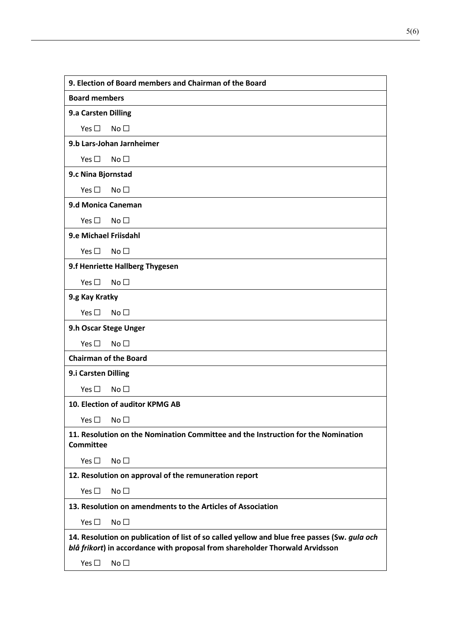| 9. Election of Board members and Chairman of the Board                                                                                                                       |  |
|------------------------------------------------------------------------------------------------------------------------------------------------------------------------------|--|
| <b>Board members</b>                                                                                                                                                         |  |
| 9.a Carsten Dilling                                                                                                                                                          |  |
| No <sub>1</sub><br>Yes $\square$                                                                                                                                             |  |
| 9.b Lars-Johan Jarnheimer                                                                                                                                                    |  |
| Yes $\square$<br>No <sub>1</sub>                                                                                                                                             |  |
| 9.c Nina Bjornstad                                                                                                                                                           |  |
| Yes $\square$<br>No <sub>1</sub>                                                                                                                                             |  |
| 9.d Monica Caneman                                                                                                                                                           |  |
| No <sub>1</sub><br>Yes $\square$                                                                                                                                             |  |
| 9.e Michael Friisdahl                                                                                                                                                        |  |
| No <sub>1</sub><br>Yes $\square$                                                                                                                                             |  |
| 9.f Henriette Hallberg Thygesen                                                                                                                                              |  |
| Yes $\square$<br>No <sub>1</sub>                                                                                                                                             |  |
| 9.g Kay Kratky                                                                                                                                                               |  |
| No <sub>1</sub><br>Yes $\square$                                                                                                                                             |  |
| 9.h Oscar Stege Unger                                                                                                                                                        |  |
| Yes $\square$<br>No <sub>1</sub>                                                                                                                                             |  |
| <b>Chairman of the Board</b>                                                                                                                                                 |  |
| 9.i Carsten Dilling                                                                                                                                                          |  |
| Yes $\square$<br>No <sub>1</sub>                                                                                                                                             |  |
| 10. Election of auditor KPMG AB                                                                                                                                              |  |
| Yes $\square$<br>No $\square$                                                                                                                                                |  |
| 11. Resolution on the Nomination Committee and the Instruction for the Nomination<br><b>Committee</b>                                                                        |  |
| Yes $\square$<br>No $\square$                                                                                                                                                |  |
| 12. Resolution on approval of the remuneration report                                                                                                                        |  |
| Yes $\square$<br>No $\square$                                                                                                                                                |  |
| 13. Resolution on amendments to the Articles of Association                                                                                                                  |  |
| Yes $\square$<br>No <sub>1</sub>                                                                                                                                             |  |
| 14. Resolution on publication of list of so called yellow and blue free passes (Sw. gula och<br>blå frikort) in accordance with proposal from shareholder Thorwald Arvidsson |  |
| Yes $\square$<br>No <sub>1</sub>                                                                                                                                             |  |